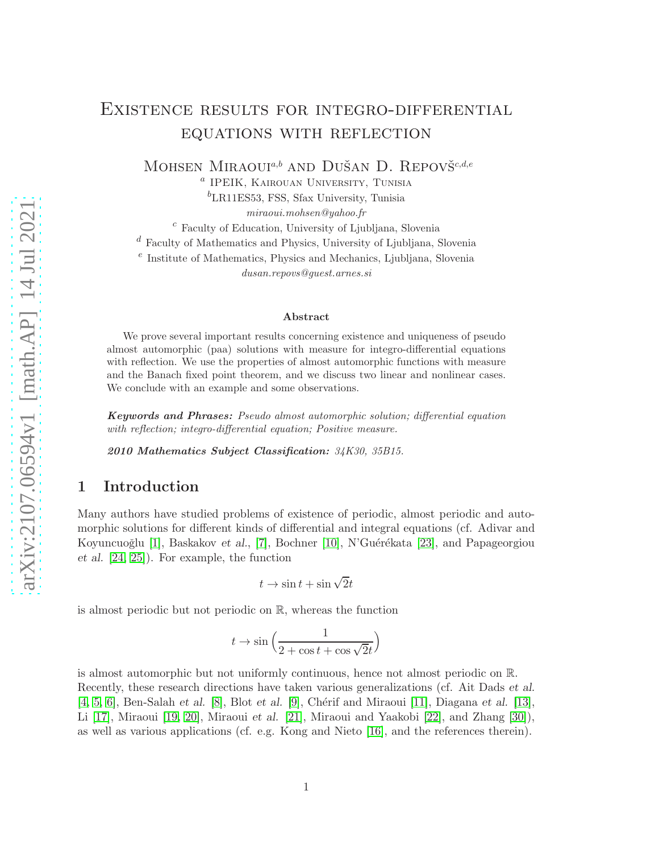# Existence results for integro-differential equations with reflection

MOHSEN MIRAOUI<sup>a,b</sup> AND DUŠAN D. REPOVŠ<sup>c,d,e</sup>

a IPEIK, Kairouan University, Tunisia  ${}^{b}$ LR11ES53, FSS, Sfax University, Tunisia

miraoui.mohsen@yahoo.fr

<sup>c</sup> Faculty of Education, University of Ljubljana, Slovenia

 $d$  Faculty of Mathematics and Physics, University of Ljubljana, Slovenia

 $e$  Institute of Mathematics, Physics and Mechanics, Ljubljana, Slovenia

dusan.repovs@guest.arnes.si

#### Abstract

We prove several important results concerning existence and uniqueness of pseudo almost automorphic (paa) solutions with measure for integro-differential equations with reflection. We use the properties of almost automorphic functions with measure and the Banach fixed point theorem, and we discuss two linear and nonlinear cases. We conclude with an example and some observations.

Keywords and Phrases: Pseudo almost automorphic solution; differential equation with reflection; integro-differential equation; Positive measure.

2010 Mathematics Subject Classification: 34K30, 35B15.

### 1 Introduction

Many authors have studied problems of existence of periodic, almost periodic and automorphic solutions for different kinds of differential and integral equations (cf. Adivar and Koyuncuoğlu [\[1\]](#page-11-0), Baskakov et al., [\[7\]](#page-11-1), Bochner [\[10\]](#page-11-2), N'Guérékata [\[23\]](#page-12-0), and Papageorgiou et al. [\[24,](#page-12-1) [25\]](#page-12-2)). For example, the function

$$
t\to\sin t+\sin\sqrt{2}t
$$

is almost periodic but not periodic on R, whereas the function

$$
t\to \sin\Big( \frac{1}{2+\cos t+\cos \sqrt{2}t}\Big)
$$

is almost automorphic but not uniformly continuous, hence not almost periodic on R. Recently, these research directions have taken various generalizations (cf. Ait Dads et al.  $[4, 5, 6]$  $[4, 5, 6]$  $[4, 5, 6]$ , Ben-Salah et al.  $[8]$ , Blot et al.  $[9]$ , Chérif and Miraoui  $[11]$ , Diagana et al.  $[13]$ , Li [\[17\]](#page-12-3), Miraoui [\[19,](#page-12-4) [20\]](#page-12-5), Miraoui et al. [\[21\]](#page-12-6), Miraoui and Yaakobi [\[22\]](#page-12-7), and Zhang [\[30\]](#page-13-0)), as well as various applications (cf. e.g. Kong and Nieto [\[16\]](#page-12-8), and the references therein).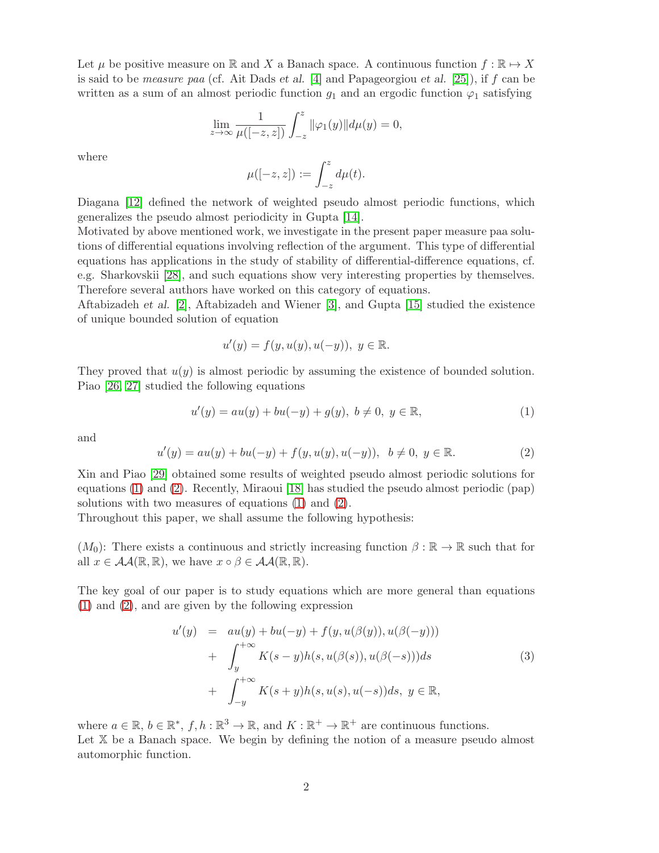Let  $\mu$  be positive measure on R and X a Banach space. A continuous function  $f : \mathbb{R} \to X$ is said to be *measure paa* (cf. Ait Dads *et al.* [\[4\]](#page-11-3) and Papageorgiou *et al.* [\[25\]](#page-12-2)), if f can be written as a sum of an almost periodic function  $g_1$  and an ergodic function  $\varphi_1$  satisfying

$$
\lim_{z \to \infty} \frac{1}{\mu([-z, z])} \int_{-z}^{z} ||\varphi_1(y)|| d\mu(y) = 0,
$$

where

$$
\mu([-z, z]) := \int_{-z}^{z} d\mu(t).
$$

Diagana [\[12\]](#page-11-10) defined the network of weighted pseudo almost periodic functions, which generalizes the pseudo almost periodicity in Gupta [\[14\]](#page-11-11).

Motivated by above mentioned work, we investigate in the present paper measure paa solutions of differential equations involving reflection of the argument. This type of differential equations has applications in the study of stability of differential-difference equations, cf. e.g. Sharkovskii [\[28\]](#page-12-9), and such equations show very interesting properties by themselves. Therefore several authors have worked on this category of equations.

Aftabizadeh et al. [\[2\]](#page-11-12), Aftabizadeh and Wiener [\[3\]](#page-11-13), and Gupta [\[15\]](#page-12-10) studied the existence of unique bounded solution of equation

$$
u'(y) = f(y, u(y), u(-y)), \ y \in \mathbb{R}.
$$

They proved that  $u(y)$  is almost periodic by assuming the existence of bounded solution. Piao [\[26,](#page-12-11) [27\]](#page-12-12) studied the following equations

<span id="page-1-0"></span>
$$
u'(y) = au(y) + bu(-y) + g(y), \ b \neq 0, \ y \in \mathbb{R}, \tag{1}
$$

and

<span id="page-1-1"></span>
$$
u'(y) = au(y) + bu(-y) + f(y, u(y), u(-y)), b \neq 0, y \in \mathbb{R}.
$$
 (2)

Xin and Piao [\[29\]](#page-12-13) obtained some results of weighted pseudo almost periodic solutions for equations [\(1\)](#page-1-0) and [\(2\)](#page-1-1). Recently, Miraoui [\[18\]](#page-12-14) has studied the pseudo almost periodic (pap) solutions with two measures of equations [\(1\)](#page-1-0) and [\(2\)](#page-1-1).

Throughout this paper, we shall assume the following hypothesis:

 $(M_0)$ : There exists a continuous and strictly increasing function  $\beta : \mathbb{R} \to \mathbb{R}$  such that for all  $x \in \mathcal{AA}(\mathbb{R}, \mathbb{R})$ , we have  $x \circ \beta \in \mathcal{AA}(\mathbb{R}, \mathbb{R})$ .

The key goal of our paper is to study equations which are more general than equations [\(1\)](#page-1-0) and [\(2\)](#page-1-1), and are given by the following expression

<span id="page-1-2"></span>
$$
u'(y) = au(y) + bu(-y) + f(y, u(\beta(y)), u(\beta(-y)))
$$
  
+ 
$$
\int_{y}^{+\infty} K(s-y)h(s, u(\beta(s)), u(\beta(-s)))ds
$$
  
+ 
$$
\int_{-y}^{+\infty} K(s+y)h(s, u(s), u(-s))ds, y \in \mathbb{R},
$$
 (3)

where  $a \in \mathbb{R}$ ,  $b \in \mathbb{R}^*$ ,  $f, h: \mathbb{R}^3 \to \mathbb{R}$ , and  $K: \mathbb{R}^+ \to \mathbb{R}^+$  are continuous functions. Let X be a Banach space. We begin by defining the notion of a measure pseudo almost automorphic function.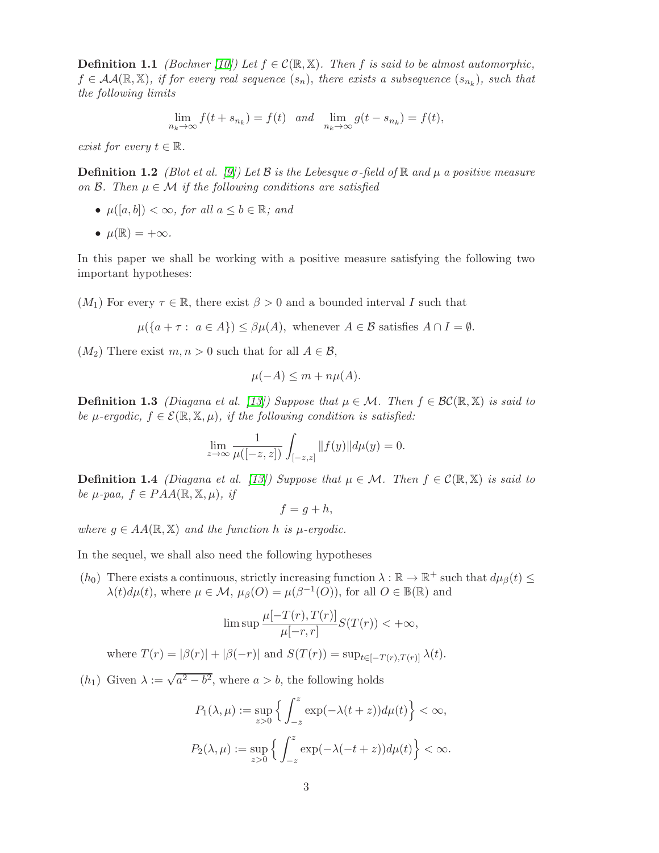**Definition 1.1** (Bochner [\[10\]](#page-11-2)) Let  $f \in \mathcal{C}(\mathbb{R}, \mathbb{X})$ . Then f is said to be almost automorphic,  $f \in AA(\mathbb{R}, \mathbb{X})$ , if for every real sequence  $(s_n)$ , there exists a subsequence  $(s_{n_k})$ , such that the following limits

$$
\lim_{n_k \to \infty} f(t + s_{n_k}) = f(t) \quad and \quad \lim_{n_k \to \infty} g(t - s_{n_k}) = f(t),
$$

exist for every  $t \in \mathbb{R}$ .

**Definition 1.2** (Blot et al. [\[9\]](#page-11-7)) Let B is the Lebesque  $\sigma$ -field of  $\mathbb{R}$  and  $\mu$  a positive measure on  $\mathcal{B}$ . Then  $\mu \in \mathcal{M}$  if the following conditions are satisfied

•  $\mu([a, b]) < \infty$ , for all  $a \leq b \in \mathbb{R}$ ; and

• 
$$
\mu(\mathbb{R}) = +\infty
$$
.

In this paper we shall be working with a positive measure satisfying the following two important hypotheses:

 $(M_1)$  For every  $\tau \in \mathbb{R}$ , there exist  $\beta > 0$  and a bounded interval I such that

$$
\mu({a + \tau : a \in A}) \le \beta \mu(A),
$$
 whenever  $A \in \mathcal{B}$  satisfies  $A \cap I = \emptyset$ .

 $(M_2)$  There exist  $m, n > 0$  such that for all  $A \in \mathcal{B}$ ,

$$
\mu(-A) \le m + n\mu(A).
$$

**Definition 1.3** (Diagana et al. [\[13\]](#page-11-9)) Suppose that  $\mu \in \mathcal{M}$ . Then  $f \in \mathcal{BC}(\mathbb{R}, \mathbb{X})$  is said to be  $\mu$ -ergodic,  $f \in \mathcal{E}(\mathbb{R}, \mathbb{X}, \mu)$ , if the following condition is satisfied:

$$
\lim_{z \to \infty} \frac{1}{\mu([-z, z])} \int_{[-z, z]} ||f(y)|| d\mu(y) = 0.
$$

**Definition 1.4** (Diagana et al. [\[13\]](#page-11-9)) Suppose that  $\mu \in \mathcal{M}$ . Then  $f \in \mathcal{C}(\mathbb{R}, \mathbb{X})$  is said to be  $\mu$ -paa,  $f \in PAA(\mathbb{R}, \mathbb{X}, \mu)$ , if

$$
f = g + h,
$$

where  $g \in AA(\mathbb{R}, \mathbb{X})$  and the function h is  $\mu$ -ergodic.

In the sequel, we shall also need the following hypotheses

(h<sub>0</sub>) There exists a continuous, strictly increasing function  $\lambda : \mathbb{R} \to \mathbb{R}^+$  such that  $d\mu_{\beta}(t) \leq$  $\lambda(t)d\mu(t)$ , where  $\mu \in \mathcal{M}$ ,  $\mu_{\beta}(O) = \mu(\beta^{-1}(O))$ , for all  $O \in \mathbb{B}(\mathbb{R})$  and

$$
\limsup \frac{\mu[-T(r), T(r)]}{\mu[-r, r]} S(T(r)) < +\infty,
$$

where  $T(r) = |\beta(r)| + |\beta(-r)|$  and  $S(T(r)) = \sup_{t \in [-T(r),T(r)]} \lambda(t)$ .

 $(h_1)$  Given  $\lambda := \sqrt{a^2 - b^2}$ , where  $a > b$ , the following holds

$$
P_1(\lambda, \mu) := \sup_{z>0} \left\{ \int_{-z}^z \exp(-\lambda(t+z)) d\mu(t) \right\} < \infty,
$$
  

$$
P_2(\lambda, \mu) := \sup_{z>0} \left\{ \int_{-z}^z \exp(-\lambda(-t+z)) d\mu(t) \right\} < \infty.
$$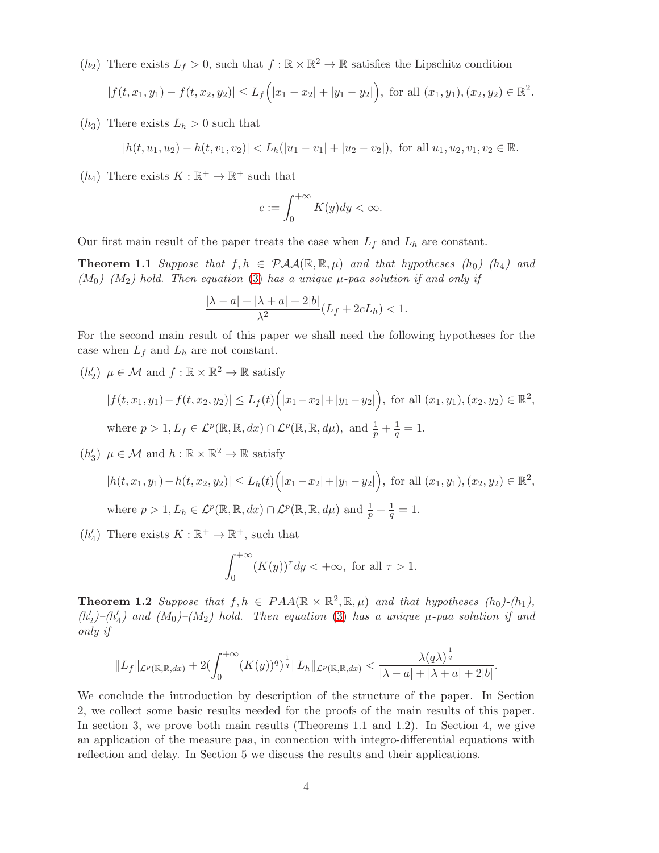$(h_2)$  There exists  $L_f > 0$ , such that  $f : \mathbb{R} \times \mathbb{R}^2 \to \mathbb{R}$  satisfies the Lipschitz condition

$$
|f(t, x_1, y_1) - f(t, x_2, y_2)| \le L_f(|x_1 - x_2| + |y_1 - y_2|), \text{ for all } (x_1, y_1), (x_2, y_2) \in \mathbb{R}^2.
$$

 $(h_3)$  There exists  $L_h > 0$  such that

$$
|h(t, u_1, u_2) - h(t, v_1, v_2)| < L_h(|u_1 - v_1| + |u_2 - v_2|), \text{ for all } u_1, u_2, v_1, v_2 \in \mathbb{R}.
$$

 $(h_4)$  There exists  $K : \mathbb{R}^+ \to \mathbb{R}^+$  such that

$$
c := \int_0^{+\infty} K(y) dy < \infty.
$$

Our first main result of the paper treats the case when  $L_f$  and  $L_h$  are constant.

**Theorem 1.1** Suppose that  $f, h \in \mathcal{PAA}(\mathbb{R}, \mathbb{R}, \mu)$  and that hypotheses  $(h_0)$ – $(h_4)$  and  $(M_0)$ – $(M_2)$  hold. Then equation [\(3\)](#page-1-2) has a unique  $\mu$ -paa solution if and only if

$$
\frac{|\lambda - a| + |\lambda + a| + 2|b|}{\lambda^2} (L_f + 2cL_h) < 1.
$$

For the second main result of this paper we shall need the following hypotheses for the case when  $L_f$  and  $L_h$  are not constant.

 $(h'_2)$  $\mathcal{L}_2$ )  $\mu \in \mathcal{M}$  and  $f : \mathbb{R} \times \mathbb{R}^2 \to \mathbb{R}$  satisfy

$$
|f(t, x_1, y_1) - f(t, x_2, y_2)| \le L_f(t) \Big( |x_1 - x_2| + |y_1 - y_2| \Big), \text{ for all } (x_1, y_1), (x_2, y_2) \in \mathbb{R}^2,
$$
  
where  $p > 1$ ,  $L_f \in \mathcal{L}^p(\mathbb{R}, \mathbb{R}, dx) \cap \mathcal{L}^p(\mathbb{R}, \mathbb{R}, d\mu)$ , and  $\frac{1}{p} + \frac{1}{q} = 1$ .

 $(h_2)$  $\mathcal{A}_3$ )  $\mu \in \mathcal{M}$  and  $h : \mathbb{R} \times \mathbb{R}^2 \to \mathbb{R}$  satisfy

$$
|h(t, x_1, y_1) - h(t, x_2, y_2)| \le L_h(t) \Big( |x_1 - x_2| + |y_1 - y_2| \Big), \text{ for all } (x_1, y_1), (x_2, y_2) \in \mathbb{R}^2,
$$
  
where  $p > 1$ ,  $L_h \in \mathcal{L}^p(\mathbb{R}, \mathbb{R}, dx) \cap \mathcal{L}^p(\mathbb{R}, \mathbb{R}, d\mu)$  and  $\frac{1}{p} + \frac{1}{q} = 1$ .

 $(h'_{\ell})$  $\chi'_{4}$ ) There exists  $K : \mathbb{R}^{+} \to \mathbb{R}^{+}$ , such that

$$
\int_0^{+\infty} (K(y))^{\tau} dy < +\infty, \text{ for all } \tau > 1.
$$

<span id="page-3-0"></span>**Theorem 1.2** Suppose that  $f, h \in PAA(\mathbb{R} \times \mathbb{R}^2, \mathbb{R}, \mu)$  and that hypotheses  $(h_0)$ - $(h_1)$ ,  $(h_2^{\prime})$  $'_{2}$ ) – ( $h'_{4}$  $\mathcal{H}_4$ ) and  $(M_0)–(M_2)$  hold. Then equation  $(3)$  has a unique  $\mu$ -paa solution if and only if

$$
||L_f||_{\mathcal{L}^p(\mathbb{R},\mathbb{R},dx)}+2(\int_0^{+\infty}(K(y))^q)^{\frac{1}{q}}||L_h||_{\mathcal{L}^p(\mathbb{R},\mathbb{R},dx)}<\frac{\lambda(q\lambda)^{\frac{1}{q}}}{|\lambda-a|+|\lambda+a|+2|b|}.
$$

We conclude the introduction by description of the structure of the paper. In Section 2, we collect some basic results needed for the proofs of the main results of this paper. In section 3, we prove both main results (Theorems 1.1 and 1.2). In Section 4, we give an application of the measure paa, in connection with integro-differential equations with reflection and delay. In Section 5 we discuss the results and their applications.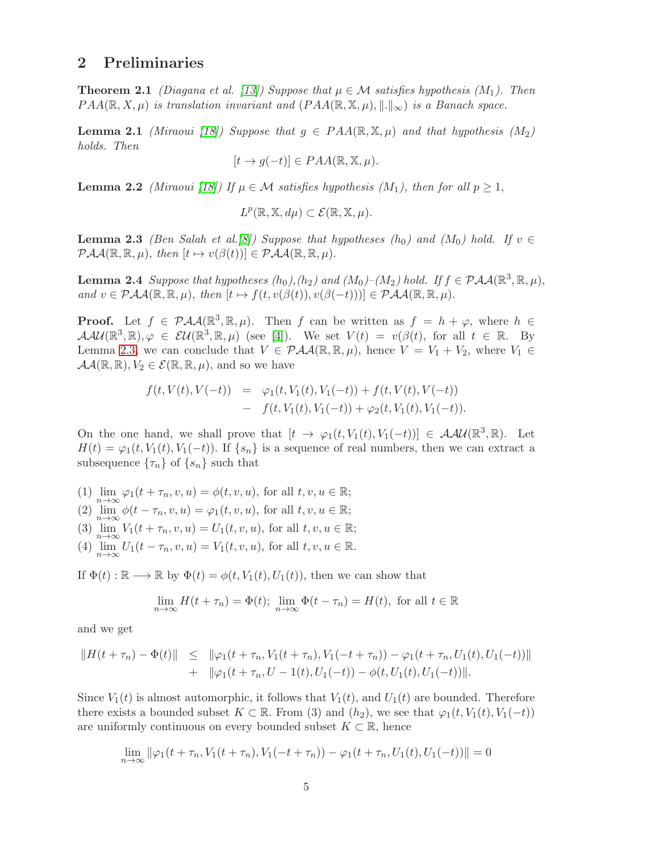### <span id="page-4-3"></span>2 Preliminaries

**Theorem 2.1** (Diagana et al. [\[13\]](#page-11-9)) Suppose that  $\mu \in \mathcal{M}$  satisfies hypothesis (M<sub>1</sub>). Then  $PAA(\mathbb{R}, X, \mu)$  is translation invariant and  $(PAA(\mathbb{R}, \mathbb{X}, \mu), \|.\|_{\infty})$  is a Banach space.

<span id="page-4-1"></span>**Lemma 2.1** (Miraoui [\[18\]](#page-12-14)) Suppose that  $g \in PAA(\mathbb{R}, \mathbb{X}, \mu)$  and that hypothesis (M<sub>2</sub>) holds. Then

$$
[t \to g(-t)] \in PAA(\mathbb{R}, \mathbb{X}, \mu).
$$

**Lemma 2.2** (Miraoui [\[18\]](#page-12-14)) If  $\mu \in \mathcal{M}$  satisfies hypothesis (M<sub>1</sub>), then for all  $p \geq 1$ ,

$$
L^p(\mathbb{R}, \mathbb{X}, d\mu) \subset \mathcal{E}(\mathbb{R}, \mathbb{X}, \mu).
$$

<span id="page-4-0"></span>**Lemma 2.3** (Ben Salah et al.[\[8\]](#page-11-6)) Suppose that hypotheses (h<sub>0</sub>) and (M<sub>0</sub>) hold. If  $v \in$  $\mathcal{PAA}(\mathbb{R}, \mathbb{R}, \mu)$ , then  $[t \mapsto v(\beta(t))] \in \mathcal{PAA}(\mathbb{R}, \mathbb{R}, \mu)$ .

<span id="page-4-2"></span>**Lemma 2.4** Suppose that hypotheses  $(h_0), (h_2)$  and  $(M_0)$ - $(M_2)$  hold. If  $f \in \mathcal{PAA}(\mathbb{R}^3, \mathbb{R}, \mu)$ , and  $v \in \mathcal{PAA}(\mathbb{R}, \mathbb{R}, \mu)$ , then  $[t \mapsto f(t, v(\beta(t)), v(\beta(-t)))] \in \mathcal{PAA}(\mathbb{R}, \mathbb{R}, \mu)$ .

**Proof.** Let  $f \in \mathcal{PAA}(\mathbb{R}^3, \mathbb{R}, \mu)$ . Then f can be written as  $f = h + \varphi$ , where  $h \in$  $\mathcal{A}\mathcal{A}\mathcal{U}(\mathbb{R}^3,\mathbb{R}),\varphi\in\mathcal{U}(\mathbb{R}^3,\mathbb{R},\mu)$  (see [\[4\]](#page-11-3)). We set  $V(t) = v(\beta(t))$ , for all  $t \in \mathbb{R}$ . By Lemma [2.3,](#page-4-0) we can conclude that  $V \in \mathcal{PAA}(\mathbb{R}, \mathbb{R}, \mu)$ , hence  $V = V_1 + V_2$ , where  $V_1 \in$  $\mathcal{A}\mathcal{A}(\mathbb{R},\mathbb{R}), V_2 \in \mathcal{E}(\mathbb{R},\mathbb{R},\mu)$ , and so we have

$$
f(t, V(t), V(-t)) = \varphi_1(t, V_1(t), V_1(-t)) + f(t, V(t), V(-t))
$$
  
- 
$$
f(t, V_1(t), V_1(-t)) + \varphi_2(t, V_1(t), V_1(-t)).
$$

On the one hand, we shall prove that  $[t \to \varphi_1(t, V_1(t), V_1(-t))] \in \mathcal{A}\mathcal{A}\mathcal{U}(\mathbb{R}^3, \mathbb{R})$ . Let  $H(t) = \varphi_1(t, V_1(t), V_1(-t))$ . If  $\{s_n\}$  is a sequence of real numbers, then we can extract a subsequence  $\{\tau_n\}$  of  $\{s_n\}$  such that

(1)  $\lim_{n\to\infty}\varphi_1(t+\tau_n,v,u)=\phi(t,v,u)$ , for all  $t,v,u\in\mathbb{R}$ ; (2)  $\lim_{n\to\infty}\phi(t-\tau_n,v,u)=\varphi_1(t,v,u)$ , for all  $t,v,u\in\mathbb{R}$ ; (3)  $\lim_{n \to \infty} V_1(t + \tau_n, v, u) = U_1(t, v, u)$ , for all  $t, v, u \in \mathbb{R}$ ; (4)  $\lim_{n \to \infty} U_1(t - \tau_n, v, u) = V_1(t, v, u)$ , for all  $t, v, u \in \mathbb{R}$ .

If  $\Phi(t): \mathbb{R} \longrightarrow \mathbb{R}$  by  $\Phi(t) = \phi(t, V_1(t), U_1(t))$ , then we can show that

$$
\lim_{n \to \infty} H(t + \tau_n) = \Phi(t); \ \lim_{n \to \infty} \Phi(t - \tau_n) = H(t), \text{ for all } t \in \mathbb{R}
$$

and we get

$$
||H(t + \tau_n) - \Phi(t)|| \le ||\varphi_1(t + \tau_n, V_1(t + \tau_n), V_1(-t + \tau_n)) - \varphi_1(t + \tau_n, U_1(t), U_1(-t))||
$$
  
+  $||\varphi_1(t + \tau_n, U - 1(t), U_1(-t)) - \phi(t, U_1(t), U_1(-t))||.$ 

Since  $V_1(t)$  is almost automorphic, it follows that  $V_1(t)$ , and  $U_1(t)$  are bounded. Therefore there exists a bounded subset  $K \subset \mathbb{R}$ . From (3) and  $(h_2)$ , we see that  $\varphi_1(t, V_1(t), V_1(-t))$ are uniformly continuous on every bounded subset  $K \subset \mathbb{R}$ , hence

$$
\lim_{n \to \infty} \|\varphi_1(t + \tau_n, V_1(t + \tau_n), V_1(-t + \tau_n)) - \varphi_1(t + \tau_n, U_1(t), U_1(-t))\| = 0
$$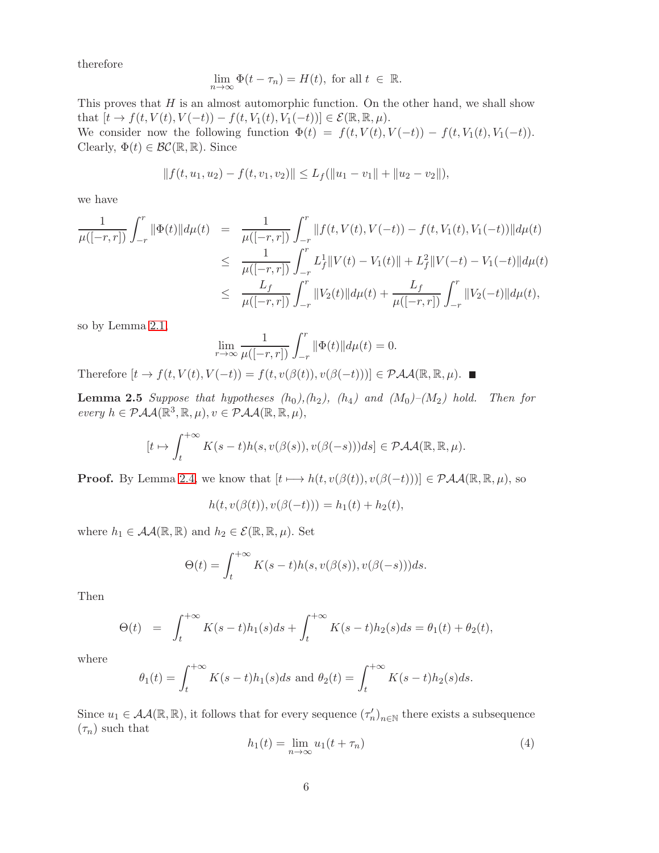therefore

$$
\lim_{n \to \infty} \Phi(t - \tau_n) = H(t), \text{ for all } t \in \mathbb{R}.
$$

This proves that  $H$  is an almost automorphic function. On the other hand, we shall show that  $[t \to f(t, V(t), V(-t)) - f(t, V_1(t), V_1(-t))] \in \mathcal{E}(\mathbb{R}, \mathbb{R}, \mu).$ We consider now the following function  $\Phi(t) = f(t, V(t), V(-t)) - f(t, V_1(t), V_1(-t)).$ Clearly,  $\Phi(t) \in \mathcal{BC}(\mathbb{R}, \mathbb{R})$ . Since

$$
||f(t, u_1, u_2) - f(t, v_1, v_2)|| \le L_f(||u_1 - v_1|| + ||u_2 - v_2||),
$$

we have

$$
\frac{1}{\mu([-r,r])} \int_{-r}^r \|\Phi(t)\| d\mu(t) = \frac{1}{\mu([-r,r])} \int_{-r}^r \|f(t,V(t),V(-t)) - f(t,V_1(t),V_1(-t))\| d\mu(t)
$$
\n
$$
\leq \frac{1}{\mu([-r,r])} \int_{-r}^r L_f^1 \|V(t) - V_1(t)\| + L_f^2 \|V(-t) - V_1(-t)\| d\mu(t)
$$
\n
$$
\leq \frac{L_f}{\mu([-r,r])} \int_{-r}^r \|V_2(t)\| d\mu(t) + \frac{L_f}{\mu([-r,r])} \int_{-r}^r \|V_2(-t)\| d\mu(t),
$$

so by Lemma [2.1,](#page-4-1)

<span id="page-5-1"></span>
$$
\lim_{r \to \infty} \frac{1}{\mu([-r, r])} \int_{-r}^{r} ||\Phi(t)|| d\mu(t) = 0.
$$

Therefore  $[t \to f(t, V(t), V(-t)) = f(t, v(\beta(t)), v(\beta(-t)))] \in \mathcal{PAA}(\mathbb{R}, \mathbb{R}, \mu)$ .

**Lemma 2.5** Suppose that hypotheses  $(h_0), (h_2), (h_4)$  and  $(M_0)–(M_2)$  hold. Then for every  $h \in \mathcal{PAA}(\mathbb{R}^3, \mathbb{R}, \mu), v \in \mathcal{PAA}(\mathbb{R}, \mathbb{R}, \mu),$ 

$$
[t \mapsto \int_t^{+\infty} K(s-t)h(s, v(\beta(s)), v(\beta(-s)))ds] \in \mathcal{PAA}(\mathbb{R}, \mathbb{R}, \mu).
$$

**Proof.** By Lemma [2.4,](#page-4-2) we know that  $[t \mapsto h(t, v(\beta(t)), v(\beta(-t)))] \in \mathcal{PAA}(\mathbb{R}, \mathbb{R}, \mu)$ , so

$$
h(t, v(\beta(t)), v(\beta(-t))) = h_1(t) + h_2(t),
$$

where  $h_1 \in \mathcal{A}A(\mathbb{R}, \mathbb{R})$  and  $h_2 \in \mathcal{E}(\mathbb{R}, \mathbb{R}, \mu)$ . Set

$$
\Theta(t) = \int_{t}^{+\infty} K(s-t)h(s, v(\beta(s)), v(\beta(-s)))ds.
$$

Then

$$
\Theta(t) = \int_{t}^{+\infty} K(s-t)h_1(s)ds + \int_{t}^{+\infty} K(s-t)h_2(s)ds = \theta_1(t) + \theta_2(t),
$$

where

$$
\theta_1(t) = \int_t^{+\infty} K(s-t)h_1(s)ds
$$
 and  $\theta_2(t) = \int_t^{+\infty} K(s-t)h_2(s)ds$ .

Since  $u_1 \in \mathcal{AA}(\mathbb{R}, \mathbb{R})$ , it follows that for every sequence  $(\tau'_n)_{n \in \mathbb{N}}$  there exists a subsequence  $(\tau_n)$  such that

<span id="page-5-0"></span>
$$
h_1(t) = \lim_{n \to \infty} u_1(t + \tau_n)
$$
\n<sup>(4)</sup>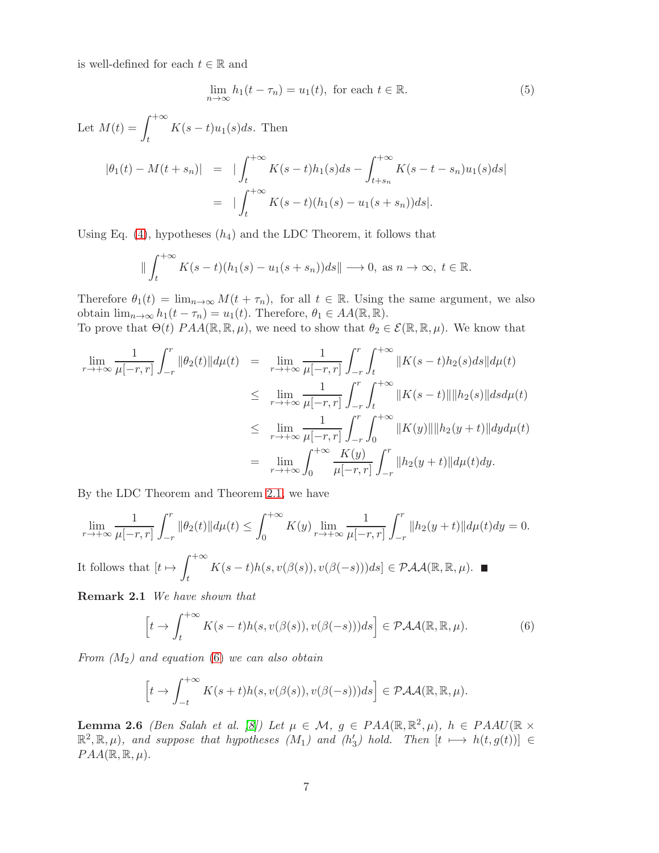is well-defined for each  $t \in \mathbb{R}$  and

$$
\lim_{n \to \infty} h_1(t - \tau_n) = u_1(t), \text{ for each } t \in \mathbb{R}.
$$
 (5)

Let  $M(t) = \int^{+\infty}$  $K(s-t)u_1(s)ds$ . Then

$$
|\theta_1(t) - M(t + s_n)| = |\int_t^{+\infty} K(s - t)h_1(s)ds - \int_{t + s_n}^{+\infty} K(s - t - s_n)u_1(s)ds|
$$
  
= 
$$
|\int_t^{+\infty} K(s - t)(h_1(s) - u_1(s + s_n))ds|.
$$

Using Eq. [\(4\)](#page-5-0), hypotheses  $(h_4)$  and the LDC Theorem, it follows that

$$
\|\int_t^{+\infty} K(s-t)(h_1(s)-u_1(s+s_n))ds\| \longrightarrow 0, \text{ as } n \to \infty, t \in \mathbb{R}.
$$

Therefore  $\theta_1(t) = \lim_{n \to \infty} M(t + \tau_n)$ , for all  $t \in \mathbb{R}$ . Using the same argument, we also obtain  $\lim_{n\to\infty} h_1(t-\tau_n)=u_1(t)$ . Therefore,  $\theta_1\in AA(\mathbb{R},\mathbb{R})$ .

To prove that  $\Theta(t)$   $PAA(\mathbb{R}, \mathbb{R}, \mu)$ , we need to show that  $\theta_2 \in \mathcal{E}(\mathbb{R}, \mathbb{R}, \mu)$ . We know that

$$
\lim_{r \to +\infty} \frac{1}{\mu[-r,r]} \int_{-r}^{r} \|\theta_2(t)\| d\mu(t) = \lim_{r \to +\infty} \frac{1}{\mu[-r,r]} \int_{-r}^{r} \int_{t}^{+\infty} \|K(s-t)h_2(s)ds\| d\mu(t)
$$
\n
$$
\leq \lim_{r \to +\infty} \frac{1}{\mu[-r,r]} \int_{-r}^{r} \int_{t}^{+\infty} \|K(s-t)\| \|h_2(s)\| ds d\mu(t)
$$
\n
$$
\leq \lim_{r \to +\infty} \frac{1}{\mu[-r,r]} \int_{-r}^{r} \int_{0}^{+\infty} \|K(y)\| \|h_2(y+t)\| dy d\mu(t)
$$
\n
$$
= \lim_{r \to +\infty} \int_{0}^{+\infty} \frac{K(y)}{\mu[-r,r]} \int_{-r}^{r} \|h_2(y+t)\| d\mu(t) dy.
$$

By the LDC Theorem and Theorem [2.1,](#page-4-3) we have

$$
\lim_{r \to +\infty} \frac{1}{\mu[-r,r]} \int_{-r}^{r} \|\theta_2(t)\| d\mu(t) \le \int_0^{+\infty} K(y) \lim_{r \to +\infty} \frac{1}{\mu[-r,r]} \int_{-r}^{r} \|h_2(y+t)\| d\mu(t) dy = 0.
$$
\nIt follows that  $[t \mapsto \int_t^{+\infty} K(s-t)h(s, v(\beta(s)), v(\beta(-s))) ds] \in \mathcal{PAA}(\mathbb{R}, \mathbb{R}, \mu)$ .

Remark 2.1 We have shown that

<span id="page-6-0"></span>
$$
\[t \to \int_{t}^{+\infty} K(s-t)h(s, v(\beta(s)), v(\beta(-s)))ds\] \in \mathcal{PAA}(\mathbb{R}, \mathbb{R}, \mu). \tag{6}
$$

From  $(M_2)$  and equation [\(6\)](#page-6-0) we can also obtain

$$
\[t \to \int_{-t}^{+\infty} K(s+t)h(s, v(\beta(s)), v(\beta(-s)))ds\] \in \mathcal{PAA}(\mathbb{R}, \mathbb{R}, \mu).
$$

**Lemma 2.6** (Ben Salah et al. [\[8\]](#page-11-6)) Let  $\mu \in \mathcal{M}$ ,  $g \in PAA(\mathbb{R}, \mathbb{R}^2, \mu)$ ,  $h \in PAAU(\mathbb{R} \times$  $\mathbb{R}^2, \mathbb{R}, \mu$ ), and suppose that hypotheses  $(M_1)$  and  $(h_2)$  $\binom{1}{3}$  hold. Then  $[t \mapsto h(t,g(t))] \in$  $PAA(\mathbb{R}, \mathbb{R}, \mu).$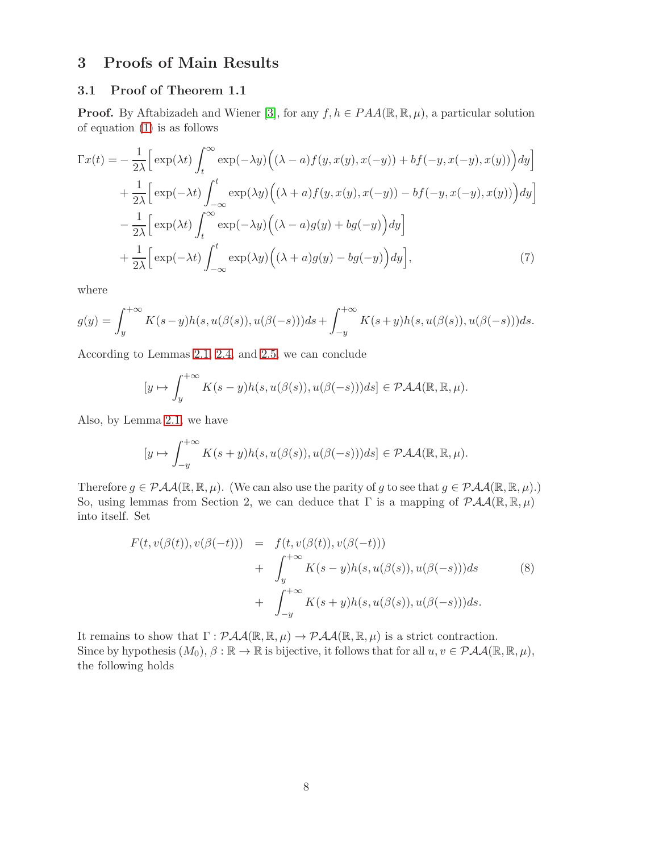## 3 Proofs of Main Results

#### 3.1 Proof of Theorem 1.1

**Proof.** By Aftabizadeh and Wiener [\[3\]](#page-11-13), for any  $f, h \in PAA(\mathbb{R}, \mathbb{R}, \mu)$ , a particular solution of equation [\(1\)](#page-1-0) is as follows

$$
\Gamma x(t) = -\frac{1}{2\lambda} \Big[ \exp(\lambda t) \int_t^{\infty} \exp(-\lambda y) \Big( (\lambda - a) f(y, x(y), x(-y)) + bf(-y, x(-y), x(y)) \Big) dy \Big] + \frac{1}{2\lambda} \Big[ \exp(-\lambda t) \int_{-\infty}^t \exp(\lambda y) \Big( (\lambda + a) f(y, x(y), x(-y)) - bf(-y, x(-y), x(y)) \Big) dy \Big] - \frac{1}{2\lambda} \Big[ \exp(\lambda t) \int_t^{\infty} \exp(-\lambda y) \Big( (\lambda - a) g(y) + bg(-y) \Big) dy \Big] + \frac{1}{2\lambda} \Big[ \exp(-\lambda t) \int_{-\infty}^t \exp(\lambda y) \Big( (\lambda + a) g(y) - bg(-y) \Big) dy \Big], \tag{7}
$$

where

$$
g(y) = \int_{y}^{+\infty} K(s-y)h(s, u(\beta(s)), u(\beta(-s)))ds + \int_{-y}^{+\infty} K(s+y)h(s, u(\beta(s)), u(\beta(-s)))ds.
$$

According to Lemmas [2.1,](#page-4-1) [2.4,](#page-4-2) and [2.5,](#page-5-1) we can conclude

<span id="page-7-0"></span>
$$
[y \mapsto \int_{y}^{+\infty} K(s-y)h(s, u(\beta(s)), u(\beta(-s)))ds] \in \mathcal{PAA}(\mathbb{R}, \mathbb{R}, \mu).
$$

Also, by Lemma [2.1,](#page-4-1) we have

$$
[y \mapsto \int_{-y}^{+\infty} K(s+y)h(s, u(\beta(s)), u(\beta(-s)))ds] \in \mathcal{PAA}(\mathbb{R}, \mathbb{R}, \mu).
$$

Therefore  $g \in \mathcal{PAA}(\mathbb{R}, \mathbb{R}, \mu)$ . (We can also use the parity of g to see that  $g \in \mathcal{PAA}(\mathbb{R}, \mathbb{R}, \mu)$ .) So, using lemmas from Section 2, we can deduce that  $\Gamma$  is a mapping of  $\mathcal{P}AA(\mathbb{R},\mathbb{R},\mu)$ into itself. Set

<span id="page-7-1"></span>
$$
F(t, v(\beta(t)), v(\beta(-t))) = f(t, v(\beta(t)), v(\beta(-t)))
$$
  
+ 
$$
\int_{y}^{+\infty} K(s-y)h(s, u(\beta(s)), u(\beta(-s)))ds
$$
  
+ 
$$
\int_{-y}^{+\infty} K(s+y)h(s, u(\beta(s)), u(\beta(-s)))ds.
$$
 (8)

It remains to show that  $\Gamma : \mathcal{P}AA(\mathbb{R}, \mathbb{R}, \mu) \to \mathcal{P}AA(\mathbb{R}, \mathbb{R}, \mu)$  is a strict contraction. Since by hypothesis  $(M_0), \beta : \mathbb{R} \to \mathbb{R}$  is bijective, it follows that for all  $u, v \in \mathcal{PAA}(\mathbb{R}, \mathbb{R}, \mu)$ , the following holds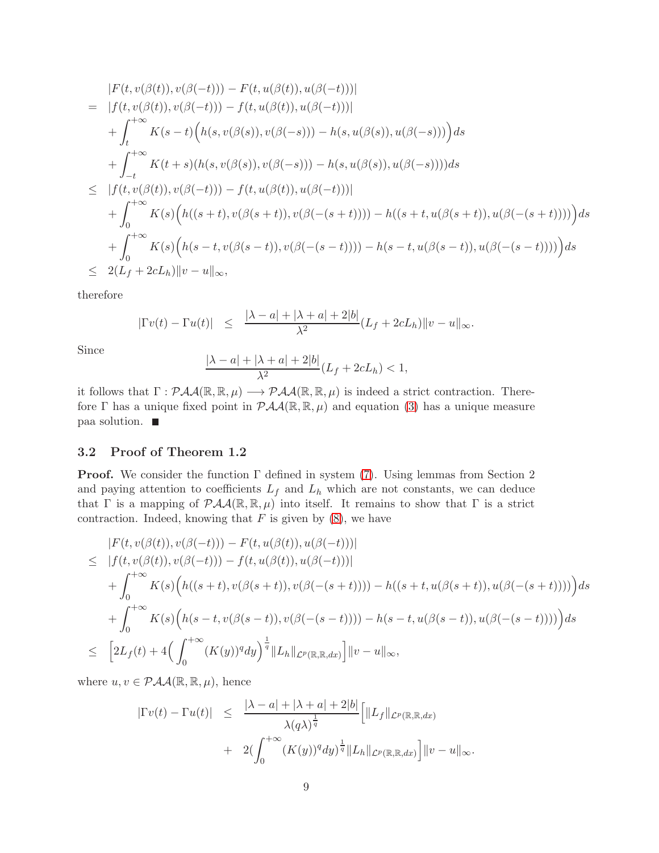$$
|F(t, v(\beta(t)), v(\beta(-t))) - F(t, u(\beta(t)), u(\beta(-t)))|
$$
  
\n
$$
= |f(t, v(\beta(t)), v(\beta(-t))) - f(t, u(\beta(t)), u(\beta(-t)))|
$$
  
\n
$$
+ \int_{t}^{+\infty} K(s - t) \Big( h(s, v(\beta(s)), v(\beta(-s))) - h(s, u(\beta(s)), u(\beta(-s))) \Big) ds
$$
  
\n
$$
+ \int_{-t}^{+\infty} K(t + s) (h(s, v(\beta(s)), v(\beta(-s))) - h(s, u(\beta(s)), u(\beta(-s))) ds
$$
  
\n
$$
\leq |f(t, v(\beta(t)), v(\beta(-t))) - f(t, u(\beta(t)), u(\beta(-t)))|
$$
  
\n
$$
+ \int_{0}^{+\infty} K(s) \Big( h((s + t), v(\beta(s + t)), v(\beta(-(s + t)))) - h((s + t, u(\beta(s + t)), u(\beta(-(s + t)))) \Big) ds
$$
  
\n
$$
+ \int_{0}^{+\infty} K(s) \Big( h(s - t, v(\beta(s - t)), v(\beta(-(s - t)))) - h(s - t, u(\beta(s - t)), u(\beta(-(s - t)))) \Big) ds
$$
  
\n
$$
\leq 2(L_f + 2cL_h) ||v - u||_{\infty},
$$

therefore

$$
|\Gamma v(t) - \Gamma u(t)| \le \frac{|\lambda - a| + |\lambda + a| + 2|b|}{\lambda^2} (L_f + 2cL_h) ||v - u||_{\infty}.
$$

Since

$$
\frac{|\lambda-a|+|\lambda+a|+2|b|}{\lambda^2}(L_f+2cL_h)<1,
$$

it follows that  $\Gamma: \mathcal{PAA}(\mathbb{R}, \mathbb{R}, \mu) \longrightarrow \mathcal{PAA}(\mathbb{R}, \mathbb{R}, \mu)$  is indeed a strict contraction. Therefore Γ has a unique fixed point in  $\mathcal{PAA}(\mathbb{R}, \mathbb{R}, \mu)$  and equation [\(3\)](#page-1-2) has a unique measure paa solution.

#### 3.2 Proof of Theorem 1.2

**Proof.** We consider the function  $\Gamma$  defined in system [\(7\)](#page-7-0). Using lemmas from Section 2 and paying attention to coefficients  $L_f$  and  $L_h$  which are not constants, we can deduce that Γ is a mapping of  $\mathcal{PAA}(\mathbb{R}, \mathbb{R}, \mu)$  into itself. It remains to show that Γ is a strict contraction. Indeed, knowing that  $F$  is given by  $(8)$ , we have

$$
|F(t, v(\beta(t)), v(\beta(-t))) - F(t, u(\beta(t)), u(\beta(-t)))|
$$
  
\n
$$
\leq |f(t, v(\beta(t)), v(\beta(-t))) - f(t, u(\beta(t)), u(\beta(-t)))|
$$
  
\n
$$
+ \int_{0}^{+\infty} K(s) \Big( h((s+t), v(\beta(s+t)), v(\beta(-(s+t)))) - h((s+t, u(\beta(s+t)), u(\beta(-(s+t)))) \Big) ds
$$
  
\n
$$
+ \int_{0}^{+\infty} K(s) \Big( h(s-t, v(\beta(s-t)), v(\beta(-(s-t)))) - h(s-t, u(\beta(s-t)), u(\beta(-(s-t)))) \Big) ds
$$
  
\n
$$
\leq [2L_f(t) + 4 \Big( \int_{0}^{+\infty} (K(y))^q dy \Big)^{\frac{1}{q}} ||L_h||_{\mathcal{L}^p(\mathbb{R}, \mathbb{R}, dx)} ||v - u||_{\infty},
$$

where  $u, v \in \mathcal{P} A A(\mathbb{R}, \mathbb{R}, \mu)$ , hence

$$
|\Gamma v(t) - \Gamma u(t)| \leq \frac{|\lambda - a| + |\lambda + a| + 2|b|}{\lambda (q\lambda)^{\frac{1}{q}}} \Big[ ||L_f||_{\mathcal{L}^p(\mathbb{R}, \mathbb{R}, dx)}
$$
  
+ 
$$
2(\int_0^{+\infty} (K(y))^q dy)^{\frac{1}{q}} ||L_h||_{\mathcal{L}^p(\mathbb{R}, \mathbb{R}, dx)} \Big] ||v - u||_{\infty}.
$$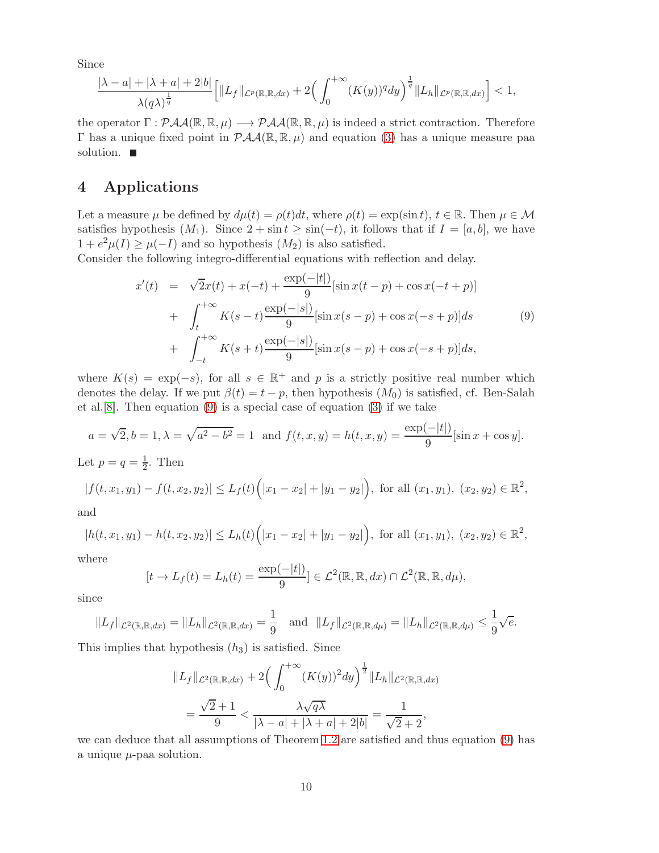Since

$$
\frac{|\lambda-a|+|\lambda+a|+2|b|}{\lambda(q\lambda)^{\frac{1}{q}}}\Big[\|L_f\|_{\mathcal{L}^p(\mathbb{R},\mathbb{R},dx)}+2\Big(\int_0^{+\infty}(K(y))^q dy\Big)^{\frac{1}{q}}\|L_h\|_{\mathcal{L}^p(\mathbb{R},\mathbb{R},dx)}\Big]<1,
$$

the operator  $\Gamma : \mathcal{P}AA(\mathbb{R}, \mathbb{R}, \mu) \longrightarrow \mathcal{P}AA(\mathbb{R}, \mathbb{R}, \mu)$  is indeed a strict contraction. Therefore Γ has a unique fixed point in  $P\mathcal{A}A(\mathbb{R}, \mathbb{R}, \mu)$  and equation [\(3\)](#page-1-2) has a unique measure paa solution.  $\blacksquare$ 

### 4 Applications

Let a measure  $\mu$  be defined by  $d\mu(t) = \rho(t)dt$ , where  $\rho(t) = \exp(\sin t)$ ,  $t \in \mathbb{R}$ . Then  $\mu \in \mathcal{M}$ satisfies hypothesis  $(M_1)$ . Since  $2 + \sin t \ge \sin(-t)$ , it follows that if  $I = [a, b]$ , we have  $1 + e^2 \mu(I) \ge \mu(-I)$  and so hypothesis  $(M_2)$  is also satisfied.

Consider the following integro-differential equations with reflection and delay.

<span id="page-9-0"></span>
$$
x'(t) = \sqrt{2}x(t) + x(-t) + \frac{\exp(-|t|)}{9} [\sin x(t-p) + \cos x(-t+p)] + \int_{t}^{+\infty} K(s-t) \frac{\exp(-|s|)}{9} [\sin x(s-p) + \cos x(-s+p)] ds
$$
(9)  
+  $\int_{-t}^{+\infty} K(s+t) \frac{\exp(-|s|)}{9} [\sin x(s-p) + \cos x(-s+p)] ds,$ 

where  $K(s) = \exp(-s)$ , for all  $s \in \mathbb{R}^+$  and p is a strictly positive real number which denotes the delay. If we put  $\beta(t) = t - p$ , then hypothesis  $(M_0)$  is satisfied, cf. Ben-Salah et al.[\[8\]](#page-11-6). Then equation [\(9\)](#page-9-0) is a special case of equation [\(3\)](#page-1-2) if we take

$$
a = \sqrt{2}, b = 1, \lambda = \sqrt{a^2 - b^2} = 1
$$
 and  $f(t, x, y) = h(t, x, y) = \frac{\exp(-|t|)}{9} [\sin x + \cos y].$ 

Let  $p = q = \frac{1}{2}$  $\frac{1}{2}$ . Then

$$
|f(t, x_1, y_1) - f(t, x_2, y_2)| \le L_f(t) \Big( |x_1 - x_2| + |y_1 - y_2| \Big), \text{ for all } (x_1, y_1), (x_2, y_2) \in \mathbb{R}^2,
$$

and

$$
|h(t, x_1, y_1) - h(t, x_2, y_2)| \le L_h(t) \Big( |x_1 - x_2| + |y_1 - y_2| \Big), \text{ for all } (x_1, y_1), (x_2, y_2) \in \mathbb{R}^2,
$$

where

$$
[t \to L_f(t) = L_h(t) = \frac{\exp(-|t|)}{9}] \in \mathcal{L}^2(\mathbb{R}, \mathbb{R}, dx) \cap \mathcal{L}^2(\mathbb{R}, \mathbb{R}, d\mu),
$$

since

$$
||L_f||_{\mathcal{L}^2(\mathbb{R}, \mathbb{R}, dx)} = ||L_h||_{\mathcal{L}^2(\mathbb{R}, \mathbb{R}, dx)} = \frac{1}{9} \text{ and } ||L_f||_{\mathcal{L}^2(\mathbb{R}, \mathbb{R}, d\mu)} = ||L_h||_{\mathcal{L}^2(\mathbb{R}, \mathbb{R}, d\mu)} \leq \frac{1}{9}\sqrt{e}.
$$

This implies that hypothesis  $(h_3)$  is satisfied. Since

$$
||L_f||_{\mathcal{L}^2(\mathbb{R}, \mathbb{R}, dx)} + 2\left(\int_0^{+\infty} (K(y))^2 dy\right)^{\frac{1}{2}} ||L_h||_{\mathcal{L}^2(\mathbb{R}, \mathbb{R}, dx)}
$$
  
=  $\frac{\sqrt{2}+1}{9} < \frac{\lambda \sqrt{q\lambda}}{|\lambda - a| + |\lambda + a| + 2|b|} = \frac{1}{\sqrt{2}+2},$ 

we can deduce that all assumptions of Theorem [1.2](#page-3-0) are satisfied and thus equation [\(9\)](#page-9-0) has a unique  $\mu$ -paa solution.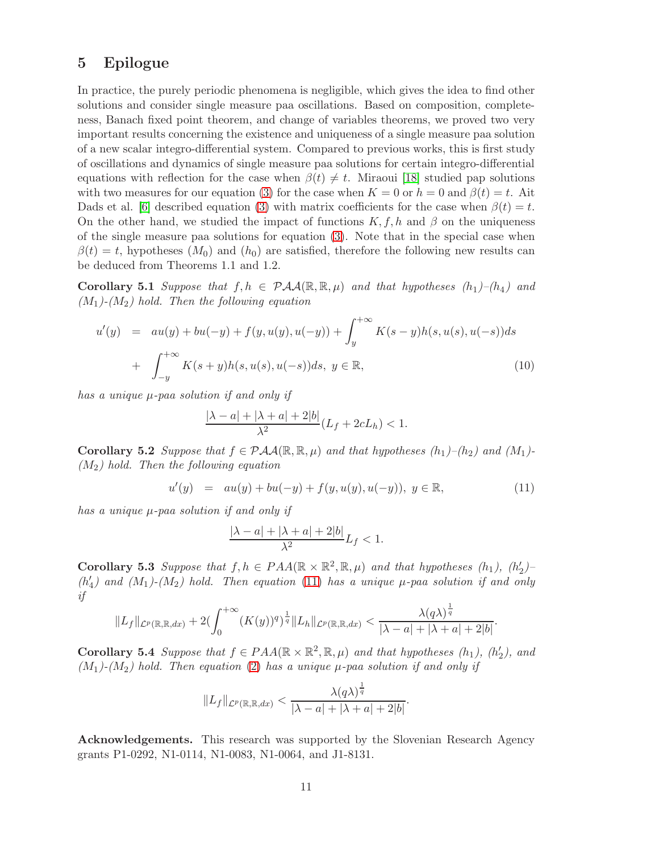### 5 Epilogue

In practice, the purely periodic phenomena is negligible, which gives the idea to find other solutions and consider single measure paa oscillations. Based on composition, completeness, Banach fixed point theorem, and change of variables theorems, we proved two very important results concerning the existence and uniqueness of a single measure paa solution of a new scalar integro-differential system. Compared to previous works, this is first study of oscillations and dynamics of single measure paa solutions for certain integro-differential equations with reflection for the case when  $\beta(t) \neq t$ . Miraoui [\[18\]](#page-12-14) studied pap solutions with two measures for our equation [\(3\)](#page-1-2) for the case when  $K = 0$  or  $h = 0$  and  $\beta(t) = t$ . Ait Dads et al. [\[6\]](#page-11-5) described equation [\(3\)](#page-1-2) with matrix coefficients for the case when  $\beta(t) = t$ . On the other hand, we studied the impact of functions  $K, f, h$  and  $\beta$  on the uniqueness of the single measure paa solutions for equation [\(3\)](#page-1-2). Note that in the special case when  $\beta(t) = t$ , hypotheses  $(M_0)$  and  $(h_0)$  are satisfied, therefore the following new results can be deduced from Theorems 1.1 and 1.2.

**Corollary 5.1** Suppose that  $f, h \in \mathcal{PAA}(\mathbb{R}, \mathbb{R}, \mu)$  and that hypotheses  $(h_1)$ – $(h_4)$  and  $(M_1)$ - $(M_2)$  hold. Then the following equation

$$
u'(y) = au(y) + bu(-y) + f(y, u(y), u(-y)) + \int_{y}^{+\infty} K(s-y)h(s, u(s), u(-s))ds
$$
  
+ 
$$
\int_{-y}^{+\infty} K(s+y)h(s, u(s), u(-s))ds, y \in \mathbb{R},
$$
 (10)

has a unique  $\mu$ -paa solution if and only if

$$
\frac{|\lambda - a| + |\lambda + a| + 2|b|}{\lambda^2} (L_f + 2cL_h) < 1.
$$

**Corollary 5.2** Suppose that  $f \in \mathcal{PAA}(\mathbb{R}, \mathbb{R}, \mu)$  and that hypotheses  $(h_1)$ – $(h_2)$  and  $(M_1)$ - $(M_2)$  hold. Then the following equation

<span id="page-10-0"></span>
$$
u'(y) = au(y) + bu(-y) + f(y, u(y), u(-y)), y \in \mathbb{R},
$$
\n(11)

.

has a unique  $\mu$ -paa solution if and only if

$$
\frac{|\lambda - a| + |\lambda + a| + 2|b|}{\lambda^2}L_f < 1.
$$

Corollary 5.3 Suppose that  $f, h \in PAA(\mathbb{R} \times \mathbb{R}^2, \mathbb{R}, \mu)$  and that hypotheses  $(h_1)$ ,  $(h_2^h)$  $'_{2})_{-}$  $(h'_{\alpha})$  $\mathcal{H}_4$ ) and  $(M_1)$ - $(M_2)$  hold. Then equation  $(11)$  has a unique  $\mu$ -paa solution if and only if

$$
||L_f||_{\mathcal{L}^p(\mathbb{R},\mathbb{R},dx)} + 2(\int_0^{+\infty} (K(y))^q)^{\frac{1}{q}} ||L_h||_{\mathcal{L}^p(\mathbb{R},\mathbb{R},dx)} < \frac{\lambda(q\lambda)^{\frac{1}{q}}}{|\lambda-a|+|\lambda+a|+2|b|}
$$

Corollary 5.4 Suppose that  $f \in PAA(\mathbb{R} \times \mathbb{R}^2, \mathbb{R}, \mu)$  and that hypotheses  $(h_1)$ ,  $(h_2^h)$  $'_{2}$ ), and  $(M_1)$ - $(M_2)$  hold. Then equation [\(2\)](#page-1-1) has a unique  $\mu$ -paa solution if and only if

$$
||L_f||_{\mathcal{L}^p(\mathbb{R},\mathbb{R},dx)} < \frac{\lambda(q\lambda)^{\frac{1}{q}}}{|\lambda-a|+|\lambda+a|+2|b|}.
$$

Acknowledgements. This research was supported by the Slovenian Research Agency grants P1-0292, N1-0114, N1-0083, N1-0064, and J1-8131.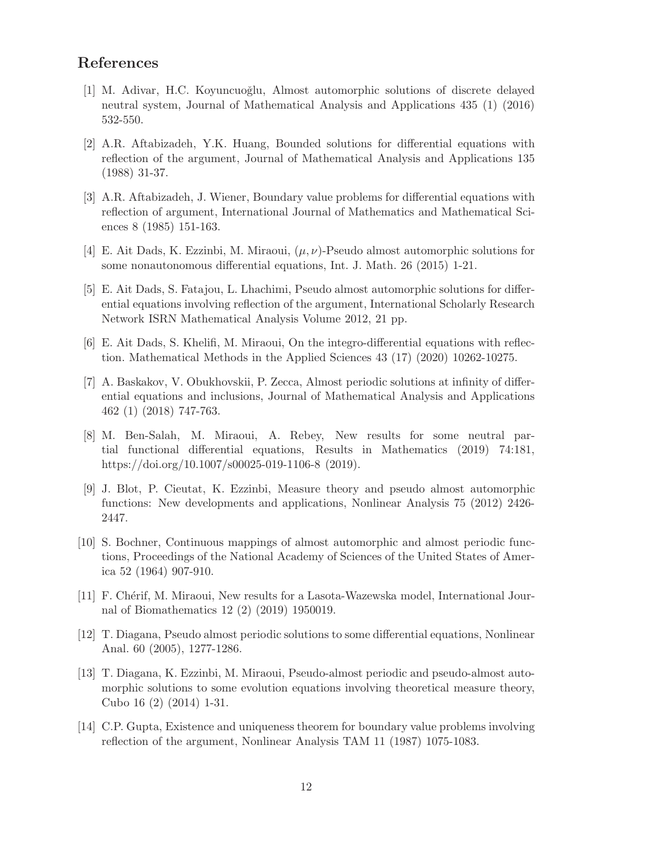### <span id="page-11-0"></span>References

- [1] M. Adivar, H.C. Koyuncuoğlu, Almost automorphic solutions of discrete delayed neutral system, Journal of Mathematical Analysis and Applications 435 (1) (2016) 532-550.
- <span id="page-11-12"></span>[2] A.R. Aftabizadeh, Y.K. Huang, Bounded solutions for differential equations with reflection of the argument, Journal of Mathematical Analysis and Applications 135 (1988) 31-37.
- <span id="page-11-13"></span>[3] A.R. Aftabizadeh, J. Wiener, Boundary value problems for differential equations with reflection of argument, International Journal of Mathematics and Mathematical Sciences 8 (1985) 151-163.
- <span id="page-11-4"></span><span id="page-11-3"></span>[4] E. Ait Dads, K. Ezzinbi, M. Miraoui,  $(\mu, \nu)$ -Pseudo almost automorphic solutions for some nonautonomous differential equations, Int. J. Math. 26 (2015) 1-21.
- [5] E. Ait Dads, S. Fatajou, L. Lhachimi, Pseudo almost automorphic solutions for differential equations involving reflection of the argument, International Scholarly Research Network ISRN Mathematical Analysis Volume 2012, 21 pp.
- <span id="page-11-5"></span><span id="page-11-1"></span>[6] E. Ait Dads, S. Khelifi, M. Miraoui, On the integro-differential equations with reflection. Mathematical Methods in the Applied Sciences 43 (17) (2020) 10262-10275.
- [7] A. Baskakov, V. Obukhovskii, P. Zecca, Almost periodic solutions at infinity of differential equations and inclusions, Journal of Mathematical Analysis and Applications 462 (1) (2018) 747-763.
- <span id="page-11-6"></span>[8] M. Ben-Salah, M. Miraoui, A. Rebey, New results for some neutral partial functional differential equations, Results in Mathematics (2019) 74:181, https://doi.org/10.1007/s00025-019-1106-8 (2019).
- <span id="page-11-7"></span>[9] J. Blot, P. Cieutat, K. Ezzinbi, Measure theory and pseudo almost automorphic functions: New developments and applications, Nonlinear Analysis 75 (2012) 2426- 2447.
- <span id="page-11-2"></span>[10] S. Bochner, Continuous mappings of almost automorphic and almost periodic functions, Proceedings of the National Academy of Sciences of the United States of America 52 (1964) 907-910.
- <span id="page-11-8"></span>[11] F. Chérif, M. Miraoui, New results for a Lasota-Wazewska model, International Journal of Biomathematics 12 (2) (2019) 1950019.
- <span id="page-11-10"></span>[12] T. Diagana, Pseudo almost periodic solutions to some differential equations, Nonlinear Anal. 60 (2005), 1277-1286.
- <span id="page-11-9"></span>[13] T. Diagana, K. Ezzinbi, M. Miraoui, Pseudo-almost periodic and pseudo-almost automorphic solutions to some evolution equations involving theoretical measure theory, Cubo 16 (2) (2014) 1-31.
- <span id="page-11-11"></span>[14] C.P. Gupta, Existence and uniqueness theorem for boundary value problems involving reflection of the argument, Nonlinear Analysis TAM 11 (1987) 1075-1083.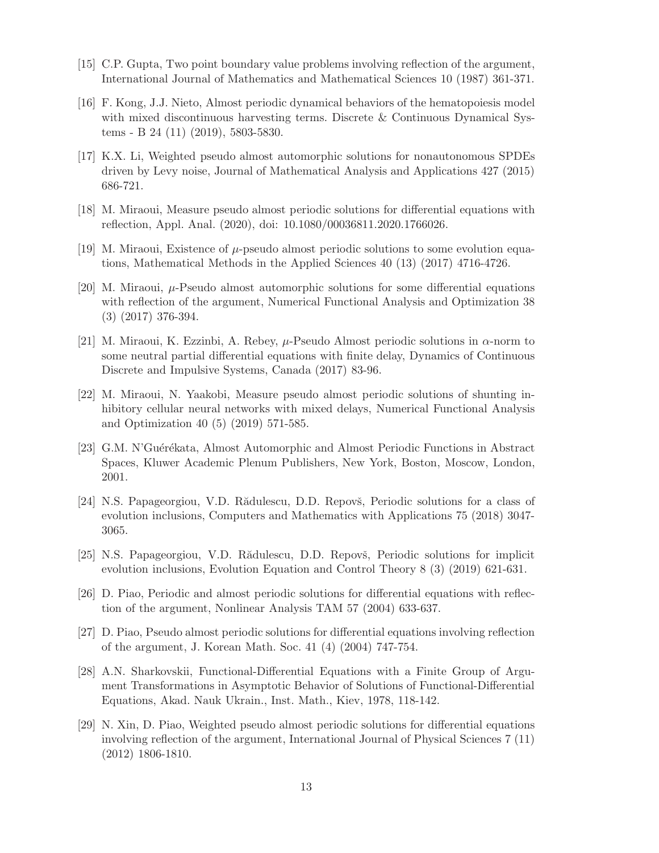- <span id="page-12-10"></span><span id="page-12-8"></span>[15] C.P. Gupta, Two point boundary value problems involving reflection of the argument, International Journal of Mathematics and Mathematical Sciences 10 (1987) 361-371.
- [16] F. Kong, J.J. Nieto, Almost periodic dynamical behaviors of the hematopoiesis model with mixed discontinuous harvesting terms. Discrete & Continuous Dynamical Systems - B 24 (11) (2019), 5803-5830.
- <span id="page-12-3"></span>[17] K.X. Li, Weighted pseudo almost automorphic solutions for nonautonomous SPDEs driven by Levy noise, Journal of Mathematical Analysis and Applications 427 (2015) 686-721.
- <span id="page-12-14"></span><span id="page-12-4"></span>[18] M. Miraoui, Measure pseudo almost periodic solutions for differential equations with reflection, Appl. Anal. (2020), doi: 10.1080/00036811.2020.1766026.
- <span id="page-12-5"></span>[19] M. Miraoui, Existence of  $\mu$ -pseudo almost periodic solutions to some evolution equations, Mathematical Methods in the Applied Sciences 40 (13) (2017) 4716-4726.
- [20] M. Miraoui,  $\mu$ -Pseudo almost automorphic solutions for some differential equations with reflection of the argument, Numerical Functional Analysis and Optimization 38 (3) (2017) 376-394.
- <span id="page-12-6"></span>[21] M. Miraoui, K. Ezzinbi, A. Rebey,  $\mu$ -Pseudo Almost periodic solutions in  $\alpha$ -norm to some neutral partial differential equations with finite delay, Dynamics of Continuous Discrete and Impulsive Systems, Canada (2017) 83-96.
- <span id="page-12-7"></span>[22] M. Miraoui, N. Yaakobi, Measure pseudo almost periodic solutions of shunting inhibitory cellular neural networks with mixed delays, Numerical Functional Analysis and Optimization 40 (5) (2019) 571-585.
- <span id="page-12-0"></span>[23] G.M. N'Guérékata, Almost Automorphic and Almost Periodic Functions in Abstract Spaces, Kluwer Academic Plenum Publishers, New York, Boston, Moscow, London, 2001.
- <span id="page-12-1"></span>[24] N.S. Papageorgiou, V.D. Rădulescu, D.D. Repovš, Periodic solutions for a class of evolution inclusions, Computers and Mathematics with Applications 75 (2018) 3047- 3065.
- <span id="page-12-2"></span>[25] N.S. Papageorgiou, V.D. Rădulescu, D.D. Repovš, Periodic solutions for implicit evolution inclusions, Evolution Equation and Control Theory 8 (3) (2019) 621-631.
- <span id="page-12-11"></span>[26] D. Piao, Periodic and almost periodic solutions for differential equations with reflection of the argument, Nonlinear Analysis TAM 57 (2004) 633-637.
- <span id="page-12-12"></span>[27] D. Piao, Pseudo almost periodic solutions for differential equations involving reflection of the argument, J. Korean Math. Soc. 41 (4) (2004) 747-754.
- <span id="page-12-9"></span>[28] A.N. Sharkovskii, Functional-Differential Equations with a Finite Group of Argument Transformations in Asymptotic Behavior of Solutions of Functional-Differential Equations, Akad. Nauk Ukrain., Inst. Math., Kiev, 1978, 118-142.
- <span id="page-12-13"></span>[29] N. Xin, D. Piao, Weighted pseudo almost periodic solutions for differential equations involving reflection of the argument, International Journal of Physical Sciences 7 (11) (2012) 1806-1810.